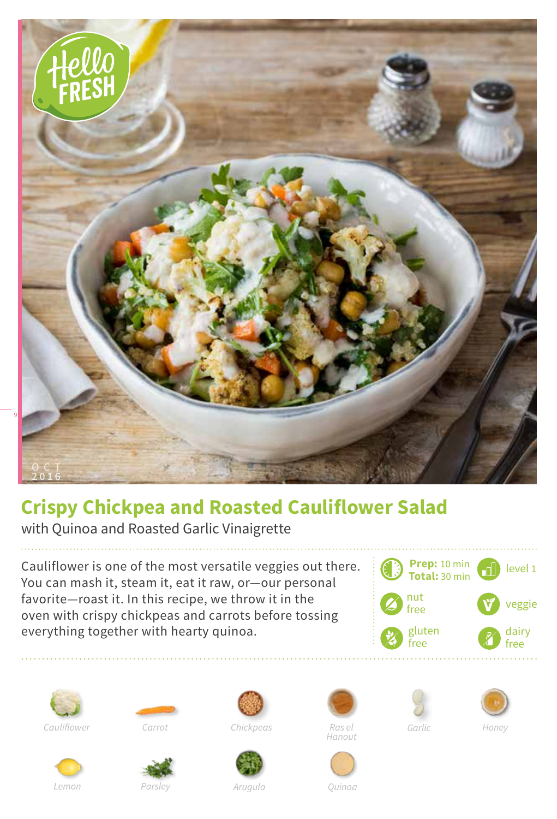

## **Crispy Chickpea and Roasted Cauliflower Salad**

with Quinoa and Roasted Garlic Vinaigrette

Cauliflower is one of the most versatile veggies out there. You can mash it, steam it, eat it raw, or—our personal favorite—roast it. In this recipe, we throw it in the oven with crispy chickpeas and carrots before tossing everything together with hearty quinoa.















*Lemon*



*Parsley Arugula Quinoa*